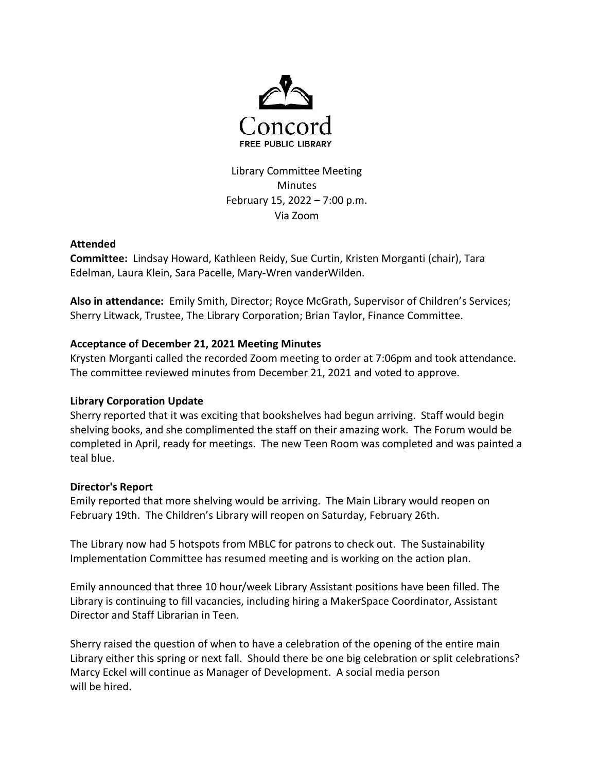

Library Committee Meeting Minutes February 15, 2022 – 7:00 p.m. Via Zoom

## Attended

Committee: Lindsay Howard, Kathleen Reidy, Sue Curtin, Kristen Morganti (chair), Tara Edelman, Laura Klein, Sara Pacelle, Mary-Wren vanderWilden.

Also in attendance: Emily Smith, Director; Royce McGrath, Supervisor of Children's Services; Sherry Litwack, Trustee, The Library Corporation; Brian Taylor, Finance Committee.

# Acceptance of December 21, 2021 Meeting Minutes

Krysten Morganti called the recorded Zoom meeting to order at 7:06pm and took attendance. The committee reviewed minutes from December 21, 2021 and voted to approve.

## Library Corporation Update

Sherry reported that it was exciting that bookshelves had begun arriving. Staff would begin shelving books, and she complimented the staff on their amazing work. The Forum would be completed in April, ready for meetings. The new Teen Room was completed and was painted a teal blue.

## Director's Report

Emily reported that more shelving would be arriving. The Main Library would reopen on February 19th. The Children's Library will reopen on Saturday, February 26th.

The Library now had 5 hotspots from MBLC for patrons to check out. The Sustainability Implementation Committee has resumed meeting and is working on the action plan.

Emily announced that three 10 hour/week Library Assistant positions have been filled. The Library is continuing to fill vacancies, including hiring a MakerSpace Coordinator, Assistant Director and Staff Librarian in Teen.

Sherry raised the question of when to have a celebration of the opening of the entire main Library either this spring or next fall. Should there be one big celebration or split celebrations? Marcy Eckel will continue as Manager of Development. A social media person will be hired.